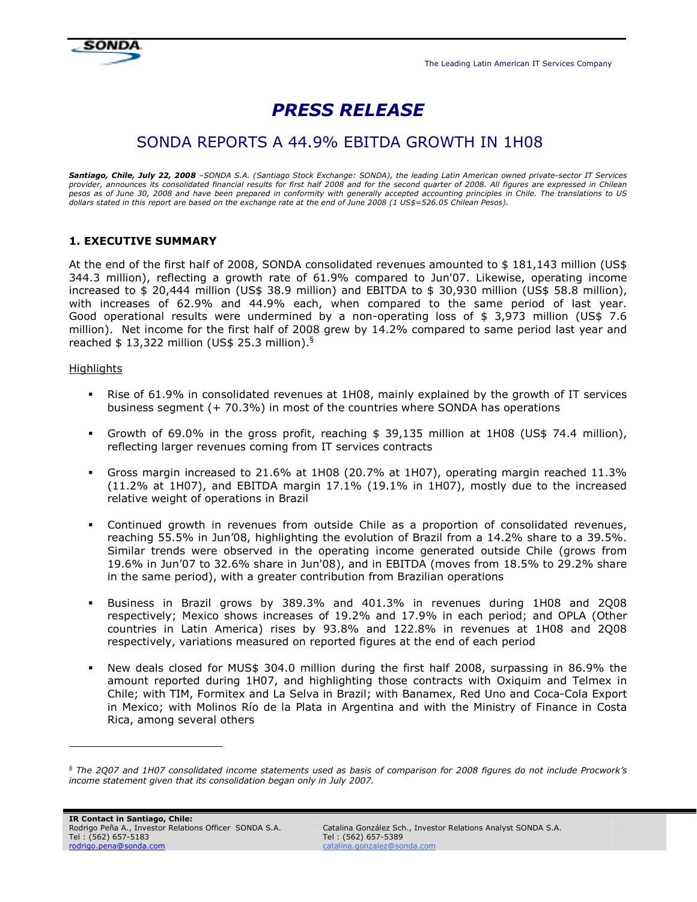

# PRESS RELEASE

## SONDA REPORTS A 44.9% EBITDA GROWTH IN 1H08

Santiago, Chile, July 22, 2008 *–SONDA S.A. (Santiago Stock Exchange: SONDA), the leading Latin American owned private-sector IT Services provider, announces its consolidated financial results for first half 2008 and for the second quarter of 2008. All figures are expressed in Chilean pesos as of June 30, 2008 and have been prepared in conformity with generally accepted accounting principles in Chile. The translations to US dollars stated in this report are based on the exchange rate at the end of June 2008 (1 US\$=526.05 Chilean Pesos).* 

## 1. EXECUTIVE SUMMARY

At the end of the first half of 2008, SONDA consolidated revenues amounted to \$ 181,143 million (US\$ 344.3 million), reflecting a growth rate of 61.9% compared to Jun'07. Likewise, operating income increased to \$ 20,444 million (US\$ 38.9 million) and EBITDA to \$ 30,930 million (US\$ 58.8 million), with increases of 62.9% and 44.9% each, when compared to the same period of last year. Good operational results were undermined by a non-operating loss of \$ 3,973 million (US\$ 7.6 million). Net income for the first half of 2008 grew by 14.2% compared to same period last year and reached  $$ 13,322$  million (US\$ 25.3 million).<sup>§</sup>

## Highlights

-

- **•** Rise of 61.9% in consolidated revenues at 1H08, mainly explained by the growth of IT services business segment (+ 70.3%) in most of the countries where SONDA has operations
- Growth of 69.0% in the gross profit, reaching \$ 39,135 million at 1H08 (US\$ 74.4 million), reflecting larger revenues coming from IT services contracts
- Gross margin increased to 21.6% at 1H08 (20.7% at 1H07), operating margin reached 11.3% (11.2% at 1H07), and EBITDA margin 17.1% (19.1% in 1H07), mostly due to the increased relative weight of operations in Brazil
- Continued growth in revenues from outside Chile as a proportion of consolidated revenues, reaching 55.5% in Jun'08, highlighting the evolution of Brazil from a 14.2% share to a 39.5%. Similar trends were observed in the operating income generated outside Chile (grows from 19.6% in Jun'07 to 32.6% share in Jun'08), and in EBITDA (moves from 18.5% to 29.2% share in the same period), with a greater contribution from Brazilian operations
- Business in Brazil grows by 389.3% and 401.3% in revenues during 1H08 and 2Q08 respectively; Mexico shows increases of 19.2% and 17.9% in each period; and OPLA (Other countries in Latin America) rises by 93.8% and 122.8% in revenues at 1H08 and 2Q08 respectively, variations measured on reported figures at the end of each period
- New deals closed for MUS\$ 304.0 million during the first half 2008, surpassing in 86.9% the amount reported during 1H07, and highlighting those contracts with Oxiquim and Telmex in Chile; with TIM, Formitex and La Selva in Brazil; with Banamex, Red Uno and Coca-Cola Export in Mexico; with Molinos Río de la Plata in Argentina and with the Ministry of Finance in Costa Rica, among several others

*<sup>§</sup> The 2Q07 and 1H07 consolidated income statements used as basis of comparison for 2008 figures do not include Procwork's income statement given that its consolidation began only in July 2007.*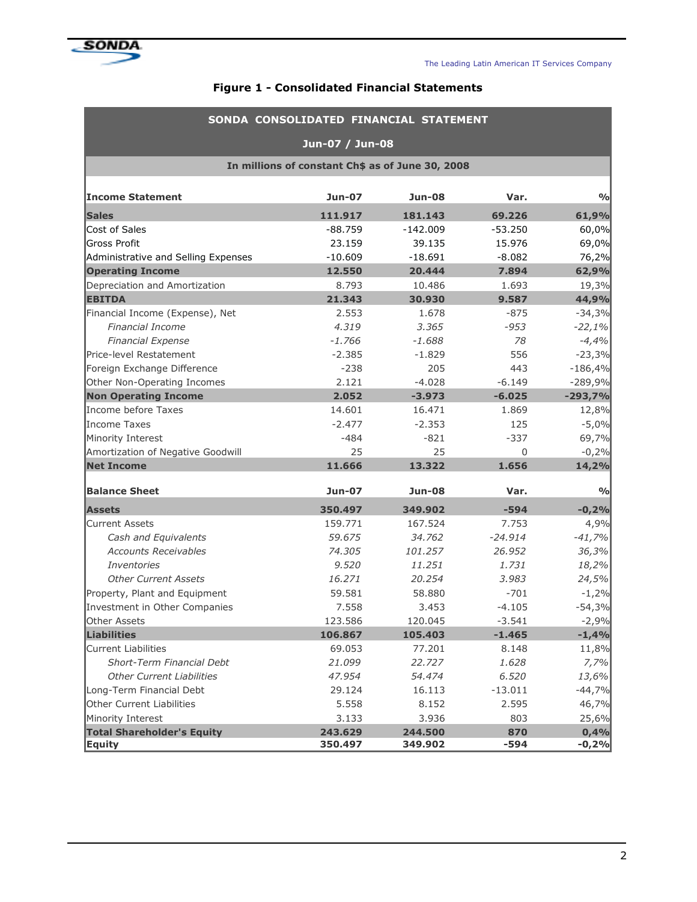

## Figure 1 - Consolidated Financial Statements

|                                                    | SONDA CONSOLIDATED FINANCIAL STATEMENT |                    |               |                 |  |  |  |  |  |  |  |
|----------------------------------------------------|----------------------------------------|--------------------|---------------|-----------------|--|--|--|--|--|--|--|
|                                                    | Jun-07 / Jun-08                        |                    |               |                 |  |  |  |  |  |  |  |
| In millions of constant Ch\$ as of June 30, 2008   |                                        |                    |               |                 |  |  |  |  |  |  |  |
| <b>Income Statement</b>                            | <b>Jun-07</b>                          | <b>Jun-08</b>      | Var.          | $\frac{0}{0}$   |  |  |  |  |  |  |  |
| <b>Sales</b>                                       | 111.917                                | 181.143            | 69.226        | 61,9%           |  |  |  |  |  |  |  |
| Cost of Sales                                      | $-88.759$                              | $-142.009$         | $-53.250$     | 60,0%           |  |  |  |  |  |  |  |
| <b>Gross Profit</b>                                | 23.159                                 | 39.135             | 15.976        | 69,0%           |  |  |  |  |  |  |  |
| Administrative and Selling Expenses                | $-10.609$                              | $-18.691$          | $-8.082$      | 76,2%           |  |  |  |  |  |  |  |
| <b>Operating Income</b>                            | 12.550                                 | 20.444             | 7.894         | 62,9%           |  |  |  |  |  |  |  |
| Depreciation and Amortization                      | 8.793                                  | 10.486             | 1.693         | 19,3%           |  |  |  |  |  |  |  |
| <b>EBITDA</b>                                      | 21.343                                 | 30.930             | 9.587         | 44,9%           |  |  |  |  |  |  |  |
| Financial Income (Expense), Net                    | 2.553                                  | 1.678              | $-875$        | $-34,3%$        |  |  |  |  |  |  |  |
| <b>Financial Income</b>                            | 4.319                                  | 3.365              | $-953$        | $-22,1%$        |  |  |  |  |  |  |  |
| <b>Financial Expense</b>                           | $-1.766$                               | $-1.688$           | 78            | $-4,4%$         |  |  |  |  |  |  |  |
| Price-level Restatement                            | $-2.385$                               | $-1.829$           | 556           | $-23,3%$        |  |  |  |  |  |  |  |
| Foreign Exchange Difference                        | $-238$                                 | 205                | 443           | $-186,4%$       |  |  |  |  |  |  |  |
| Other Non-Operating Incomes                        | 2.121                                  | $-4.028$           | $-6.149$      | $-289,9%$       |  |  |  |  |  |  |  |
| <b>Non Operating Income</b>                        | 2.052                                  | $-3.973$           | $-6.025$      | $-293,7%$       |  |  |  |  |  |  |  |
| Income before Taxes                                | 14.601                                 | 16.471             | 1.869         | 12,8%           |  |  |  |  |  |  |  |
| Income Taxes                                       | $-2.477$                               | $-2.353$           | 125           | $-5,0%$         |  |  |  |  |  |  |  |
| Minority Interest                                  | $-484$                                 | $-821$             | $-337$        | 69,7%           |  |  |  |  |  |  |  |
| Amortization of Negative Goodwill                  | 25                                     | 25                 | 0             | $-0,2%$         |  |  |  |  |  |  |  |
| <b>Net Income</b>                                  | 11.666                                 | 13.322             | 1.656         | 14,2%           |  |  |  |  |  |  |  |
| <b>Balance Sheet</b>                               | <b>Jun-07</b>                          | <b>Jun-08</b>      | Var.          | $\frac{0}{0}$   |  |  |  |  |  |  |  |
| <b>Assets</b>                                      | 350.497                                | 349.902            | $-594$        | $-0,2%$         |  |  |  |  |  |  |  |
| <b>Current Assets</b>                              | 159.771                                | 167.524            | 7.753         | 4,9%            |  |  |  |  |  |  |  |
| Cash and Equivalents                               | 59.675                                 | 34.762             | $-24.914$     | $-41,7%$        |  |  |  |  |  |  |  |
| <b>Accounts Receivables</b>                        | 74.305                                 | 101.257            | 26.952        | 36,3%           |  |  |  |  |  |  |  |
| <b>Inventories</b>                                 | 9.520                                  | 11.251             | 1.731         | 18,2%           |  |  |  |  |  |  |  |
| <b>Other Current Assets</b>                        | 16.271                                 | 20.254             | 3.983         | 24,5%           |  |  |  |  |  |  |  |
| Property, Plant and Equipment                      | 59.581                                 | 58.880             | $-701$        | $-1,2%$         |  |  |  |  |  |  |  |
| Investment in Other Companies                      | 7.558                                  | 3.453              | $-4.105$      | $-54,3%$        |  |  |  |  |  |  |  |
| Other Assets                                       | 123.586                                | 120.045            | $-3.541$      | $-2,9%$         |  |  |  |  |  |  |  |
| Liabilities                                        | 106.867                                | 105.403            | $-1.465$      | $-1,4%$         |  |  |  |  |  |  |  |
| <b>Current Liabilities</b>                         | 69.053                                 | 77.201             | 8.148         | 11,8%           |  |  |  |  |  |  |  |
| Short-Term Financial Debt                          | 21.099                                 | 22.727             | 1.628         | 7,7%            |  |  |  |  |  |  |  |
| <b>Other Current Liabilities</b>                   | 47.954                                 | 54.474             | 6.520         | 13,6%           |  |  |  |  |  |  |  |
| Long-Term Financial Debt                           | 29.124                                 | 16.113             | $-13.011$     | $-44,7%$        |  |  |  |  |  |  |  |
| Other Current Liabilities                          | 5.558                                  | 8.152              | 2.595         | 46,7%           |  |  |  |  |  |  |  |
| Minority Interest                                  | 3.133                                  | 3.936              | 803           | 25,6%           |  |  |  |  |  |  |  |
| <b>Total Shareholder's Equity</b><br><b>Equity</b> | 243.629<br>350.497                     | 244.500<br>349.902 | 870<br>$-594$ | 0,4%<br>$-0,2%$ |  |  |  |  |  |  |  |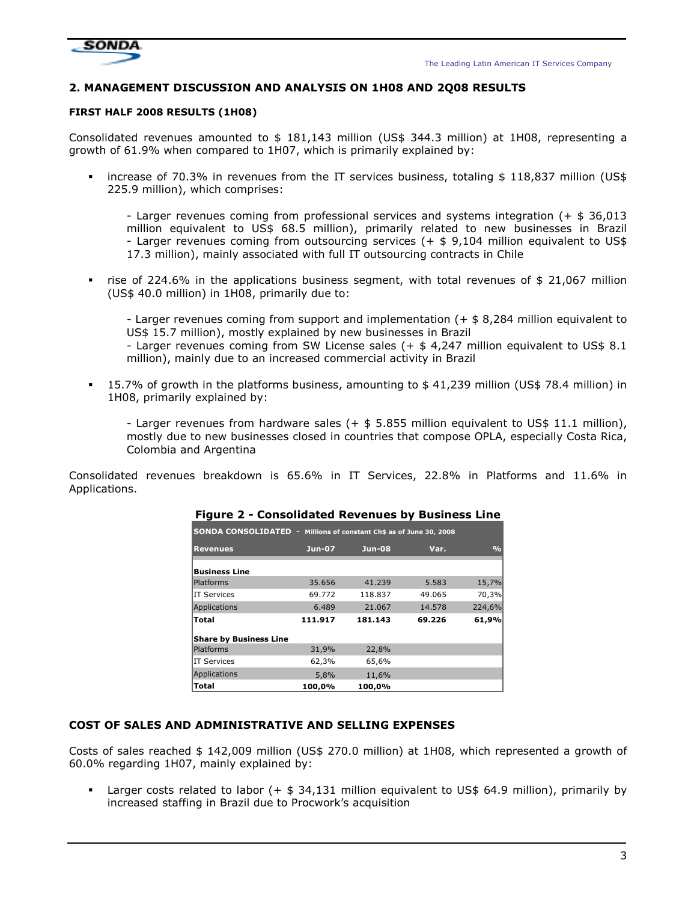



## 2. MANAGEMENT DISCUSSION AND ANALYSIS ON 1H08 AND 2Q08 RESULTS

## FIRST HALF 2008 RESULTS (1H08)

Consolidated revenues amounted to \$ 181,143 million (US\$ 344.3 million) at 1H08, representing a growth of 61.9% when compared to 1H07, which is primarily explained by:

 increase of 70.3% in revenues from the IT services business, totaling \$ 118,837 million (US\$ 225.9 million), which comprises:

- Larger revenues coming from professional services and systems integration (+ \$ 36,013 million equivalent to US\$ 68.5 million), primarily related to new businesses in Brazil - Larger revenues coming from outsourcing services (+ \$ 9,104 million equivalent to US\$ 17.3 million), mainly associated with full IT outsourcing contracts in Chile

 rise of 224.6% in the applications business segment, with total revenues of \$ 21,067 million (US\$ 40.0 million) in 1H08, primarily due to:

- Larger revenues coming from support and implementation (+ \$ 8,284 million equivalent to US\$ 15.7 million), mostly explained by new businesses in Brazil

- Larger revenues coming from SW License sales (+ \$ 4,247 million equivalent to US\$ 8.1 million), mainly due to an increased commercial activity in Brazil

 15.7% of growth in the platforms business, amounting to \$ 41,239 million (US\$ 78.4 million) in 1H08, primarily explained by:

- Larger revenues from hardware sales (+ \$ 5.855 million equivalent to US\$ 11.1 million), mostly due to new businesses closed in countries that compose OPLA, especially Costa Rica, Colombia and Argentina

Consolidated revenues breakdown is 65.6% in IT Services, 22.8% in Platforms and 11.6% in Applications.

|                               | <b>SONDA CONSOLIDATED -</b><br>Millions of constant Ch\$ as of June 30, 2008 |               |        |               |  |  |  |  |  |  |  |  |
|-------------------------------|------------------------------------------------------------------------------|---------------|--------|---------------|--|--|--|--|--|--|--|--|
|                               |                                                                              |               |        |               |  |  |  |  |  |  |  |  |
| <b>Revenues</b>               | <b>Jun-07</b>                                                                | <b>Jun-08</b> | Var.   | $\frac{0}{0}$ |  |  |  |  |  |  |  |  |
|                               |                                                                              |               |        |               |  |  |  |  |  |  |  |  |
| <b>Business Line</b>          |                                                                              |               |        |               |  |  |  |  |  |  |  |  |
| <b>Platforms</b>              | 35.656                                                                       | 41.239        | 5.583  | 15,7%         |  |  |  |  |  |  |  |  |
| IT Services                   | 69.772                                                                       | 118.837       | 49.065 | 70,3%         |  |  |  |  |  |  |  |  |
| Applications                  | 6.489                                                                        | 21.067        | 14.578 | 224,6%        |  |  |  |  |  |  |  |  |
| Total                         | 111.917                                                                      | 181.143       | 69.226 | 61,9%         |  |  |  |  |  |  |  |  |
| <b>Share by Business Line</b> |                                                                              |               |        |               |  |  |  |  |  |  |  |  |
| <b>Platforms</b>              | 31,9%                                                                        | 22,8%         |        |               |  |  |  |  |  |  |  |  |
| <b>IT Services</b>            | 62,3%                                                                        | 65,6%         |        |               |  |  |  |  |  |  |  |  |
| Applications                  | 5,8%                                                                         | 11,6%         |        |               |  |  |  |  |  |  |  |  |
| Total                         | 100,0%                                                                       | 100,0%        |        |               |  |  |  |  |  |  |  |  |

## Figure 2 - Consolidated Revenues by Business Line

#### COST OF SALES AND ADMINISTRATIVE AND SELLING EXPENSES

Costs of sales reached \$ 142,009 million (US\$ 270.0 million) at 1H08, which represented a growth of 60.0% regarding 1H07, mainly explained by:

 Larger costs related to labor (+ \$ 34,131 million equivalent to US\$ 64.9 million), primarily by increased staffing in Brazil due to Procwork's acquisition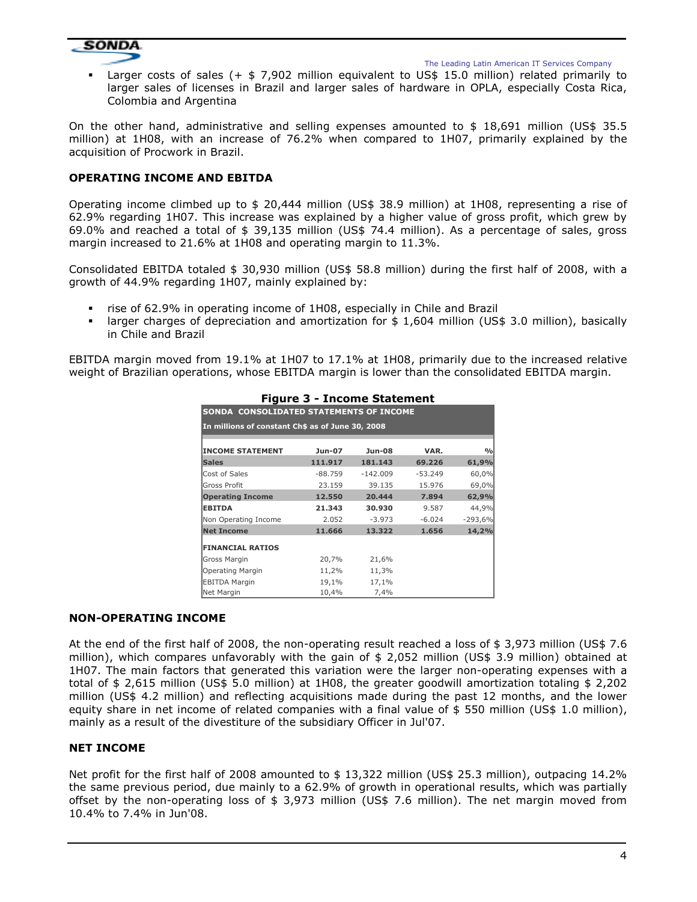

**Larger costs of sales (+**  $\frac{1}{2}$  **7,902 million equivalent to US\$ 15.0 million) related primarily to** larger sales of licenses in Brazil and larger sales of hardware in OPLA, especially Costa Rica, Colombia and Argentina

On the other hand, administrative and selling expenses amounted to  $$18,691$  million (US\$ 35.5) million) at 1H08, with an increase of 76.2% when compared to 1H07, primarily explained by the acquisition of Procwork in Brazil.

## OPERATING INCOME AND EBITDA

Operating income climbed up to \$ 20,444 million (US\$ 38.9 million) at 1H08, representing a rise of 62.9% regarding 1H07. This increase was explained by a higher value of gross profit, which grew by 69.0% and reached a total of \$ 39,135 million (US\$ 74.4 million). As a percentage of sales, gross margin increased to 21.6% at 1H08 and operating margin to 11.3%.

Consolidated EBITDA totaled \$ 30,930 million (US\$ 58.8 million) during the first half of 2008, with a growth of 44.9% regarding 1H07, mainly explained by:

- rise of 62.9% in operating income of 1H08, especially in Chile and Brazil
- larger charges of depreciation and amortization for \$ 1,604 million (US\$ 3.0 million), basically in Chile and Brazil

EBITDA margin moved from 19.1% at 1H07 to 17.1% at 1H08, primarily due to the increased relative weight of Brazilian operations, whose EBITDA margin is lower than the consolidated EBITDA margin.

| SONDA CONSOLIDATED STATEMENTS OF INCOME          |           |               |           |               |  |  |  |  |  |  |
|--------------------------------------------------|-----------|---------------|-----------|---------------|--|--|--|--|--|--|
| In millions of constant Ch\$ as of June 30, 2008 |           |               |           |               |  |  |  |  |  |  |
|                                                  |           |               |           |               |  |  |  |  |  |  |
| <b>INCOME STATEMENT</b>                          | Jun-07    | <b>Jun-08</b> | VAR.      | $\frac{0}{0}$ |  |  |  |  |  |  |
| <b>Sales</b>                                     | 111.917   | 181.143       | 69.226    | 61,9%         |  |  |  |  |  |  |
| Cost of Sales                                    | $-88.759$ | $-142.009$    | $-53.249$ | 60,0%         |  |  |  |  |  |  |
| <b>Gross Profit</b>                              | 23.159    | 39.135        | 15.976    | 69,0%         |  |  |  |  |  |  |
| <b>Operating Income</b>                          | 12.550    | 20.444        | 7.894     | 62,9%         |  |  |  |  |  |  |
| <b>EBITDA</b>                                    | 21.343    | 30.930        | 9.587     | 44,9%         |  |  |  |  |  |  |
| Non Operating Income                             | 2.052     | $-3.973$      | $-6.024$  | $-293,6%$     |  |  |  |  |  |  |
| <b>Net Income</b>                                | 11.666    | 13.322        | 1.656     | 14,2%         |  |  |  |  |  |  |
| <b>FINANCIAL RATIOS</b>                          |           |               |           |               |  |  |  |  |  |  |
| Gross Margin                                     | 20,7%     | 21,6%         |           |               |  |  |  |  |  |  |
| Operating Margin                                 | 11,2%     | 11,3%         |           |               |  |  |  |  |  |  |
| <b>EBITDA Margin</b>                             | 19,1%     | 17,1%         |           |               |  |  |  |  |  |  |
| Net Margin                                       | 10,4%     | 7,4%          |           |               |  |  |  |  |  |  |

## Figure 3 - Income Statement

#### NON-OPERATING INCOME

At the end of the first half of 2008, the non-operating result reached a loss of \$ 3,973 million (US\$ 7.6 million), which compares unfavorably with the gain of \$ 2,052 million (US\$ 3.9 million) obtained at 1H07. The main factors that generated this variation were the larger non-operating expenses with a total of \$ 2,615 million (US\$ 5.0 million) at 1H08, the greater goodwill amortization totaling \$ 2,202 million (US\$ 4.2 million) and reflecting acquisitions made during the past 12 months, and the lower equity share in net income of related companies with a final value of \$550 million (US\$ 1.0 million), mainly as a result of the divestiture of the subsidiary Officer in Jul'07.

## NET INCOME

Net profit for the first half of 2008 amounted to \$13,322 million (US\$ 25.3 million), outpacing 14.2% the same previous period, due mainly to a 62.9% of growth in operational results, which was partially offset by the non-operating loss of \$ 3,973 million (US\$ 7.6 million). The net margin moved from 10.4% to 7.4% in Jun'08.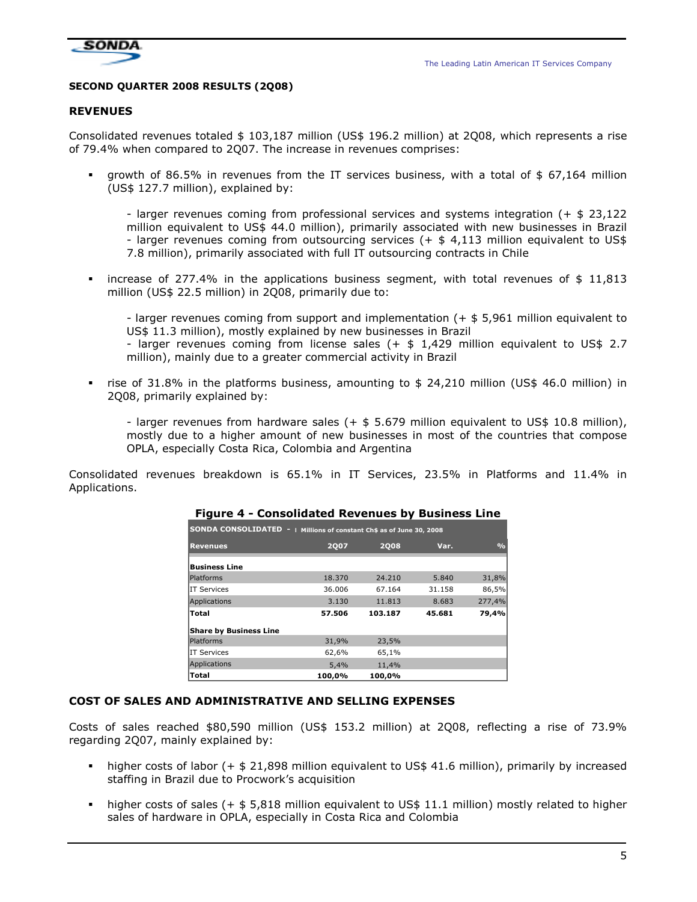

#### SECOND QUARTER 2008 RESULTS (2Q08)

#### **REVENUES**

Consolidated revenues totaled \$ 103,187 million (US\$ 196.2 million) at 2Q08, which represents a rise of 79.4% when compared to 2Q07. The increase in revenues comprises:

 growth of 86.5% in revenues from the IT services business, with a total of \$ 67,164 million (US\$ 127.7 million), explained by:

- larger revenues coming from professional services and systems integration (+ \$ 23,122 million equivalent to US\$ 44.0 million), primarily associated with new businesses in Brazil - larger revenues coming from outsourcing services (+ \$ 4,113 million equivalent to US\$ 7.8 million), primarily associated with full IT outsourcing contracts in Chile

**•** increase of 277.4% in the applications business segment, with total revenues of  $\ $11,813$ million (US\$ 22.5 million) in 2Q08, primarily due to:

- larger revenues coming from support and implementation (+ \$ 5,961 million equivalent to US\$ 11.3 million), mostly explained by new businesses in Brazil

- larger revenues coming from license sales (+ \$ 1,429 million equivalent to US\$ 2.7 million), mainly due to a greater commercial activity in Brazil

 rise of 31.8% in the platforms business, amounting to \$ 24,210 million (US\$ 46.0 million) in 2Q08, primarily explained by:

- larger revenues from hardware sales (+ \$ 5.679 million equivalent to US\$ 10.8 million), mostly due to a higher amount of new businesses in most of the countries that compose OPLA, especially Costa Rica, Colombia and Argentina

Consolidated revenues breakdown is 65.1% in IT Services, 23.5% in Platforms and 11.4% in Applications.

| SONDA CONSOLIDATED -   Millions of constant Ch\$ as of June 30, 2008 |             |             |        |                |  |  |  |  |  |  |
|----------------------------------------------------------------------|-------------|-------------|--------|----------------|--|--|--|--|--|--|
| <b>Revenues</b>                                                      | <b>2007</b> | <b>2008</b> | Var.   | O <sub>0</sub> |  |  |  |  |  |  |
| <b>Business Line</b>                                                 |             |             |        |                |  |  |  |  |  |  |
| <b>Platforms</b>                                                     | 18.370      | 24,210      | 5.840  | 31,8%          |  |  |  |  |  |  |
| <b>IT Services</b>                                                   | 36.006      | 67.164      | 31.158 | 86,5%          |  |  |  |  |  |  |
| Applications                                                         | 3.130       | 11.813      | 8.683  | 277,4%         |  |  |  |  |  |  |
| Total                                                                | 57.506      | 103.187     | 45.681 | 79,4%          |  |  |  |  |  |  |
| <b>Share by Business Line</b>                                        |             |             |        |                |  |  |  |  |  |  |
| <b>Platforms</b>                                                     | 31,9%       | 23,5%       |        |                |  |  |  |  |  |  |
| <b>IT Services</b>                                                   | 62,6%       | 65,1%       |        |                |  |  |  |  |  |  |
| Applications                                                         | 5,4%        | 11,4%       |        |                |  |  |  |  |  |  |
| Total                                                                | 100,0%      | 100,0%      |        |                |  |  |  |  |  |  |

#### Figure 4 - Consolidated Revenues by Business Line

#### COST OF SALES AND ADMINISTRATIVE AND SELLING EXPENSES

Costs of sales reached \$80,590 million (US\$ 153.2 million) at 2Q08, reflecting a rise of 73.9% regarding 2Q07, mainly explained by:

- higher costs of labor (+ \$ 21,898 million equivalent to US\$ 41.6 million), primarily by increased staffing in Brazil due to Procwork's acquisition
- higher costs of sales (+ \$ 5,818 million equivalent to US\$ 11.1 million) mostly related to higher sales of hardware in OPLA, especially in Costa Rica and Colombia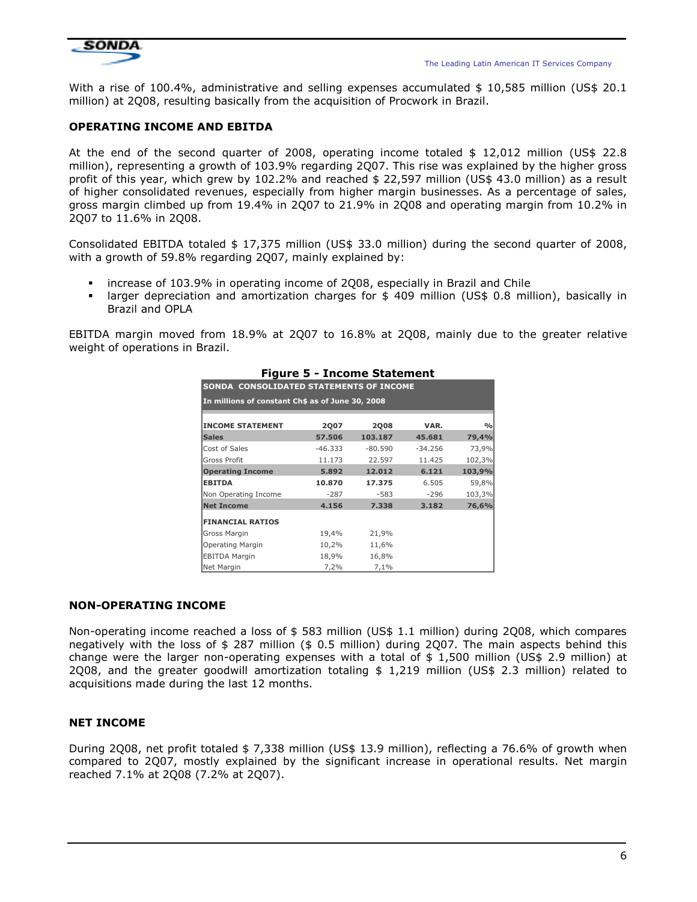

With a rise of 100.4%, administrative and selling expenses accumulated \$ 10,585 million (US\$ 20.1 million) at 2Q08, resulting basically from the acquisition of Procwork in Brazil.

## OPERATING INCOME AND EBITDA

At the end of the second quarter of 2008, operating income totaled \$ 12,012 million (US\$ 22.8 million), representing a growth of 103.9% regarding 2Q07. This rise was explained by the higher gross profit of this year, which grew by 102.2% and reached \$ 22,597 million (US\$ 43.0 million) as a result of higher consolidated revenues, especially from higher margin businesses. As a percentage of sales, gross margin climbed up from 19.4% in 2Q07 to 21.9% in 2Q08 and operating margin from 10.2% in 2Q07 to 11.6% in 2Q08.

Consolidated EBITDA totaled \$ 17,375 million (US\$ 33.0 million) during the second quarter of 2008, with a growth of 59.8% regarding 2Q07, mainly explained by:

- increase of 103.9% in operating income of 2Q08, especially in Brazil and Chile
- larger depreciation and amortization charges for \$ 409 million (US\$ 0.8 million), basically in Brazil and OPLA

EBITDA margin moved from 18.9% at 2Q07 to 16.8% at 2Q08, mainly due to the greater relative weight of operations in Brazil.

|                                                  | $\overline{ }$ , iguie J = 1, illustrie Statement |             |           |               |  |  |  |  |  |  |  |
|--------------------------------------------------|---------------------------------------------------|-------------|-----------|---------------|--|--|--|--|--|--|--|
| <b>SONDA CONSOLIDATED STATEMENTS OF INCOME</b>   |                                                   |             |           |               |  |  |  |  |  |  |  |
| In millions of constant Ch\$ as of June 30, 2008 |                                                   |             |           |               |  |  |  |  |  |  |  |
|                                                  |                                                   |             |           |               |  |  |  |  |  |  |  |
| <b>INCOME STATEMENT</b>                          | <b>2Q07</b>                                       | <b>2Q08</b> | VAR.      | $\frac{9}{6}$ |  |  |  |  |  |  |  |
| <b>Sales</b>                                     | 57.506                                            | 103.187     | 45.681    | 79,4%         |  |  |  |  |  |  |  |
| Cost of Sales                                    | $-46.333$                                         | $-80.590$   | $-34.256$ | 73,9%         |  |  |  |  |  |  |  |
| <b>Gross Profit</b>                              | 11.173                                            | 22.597      | 11.425    | 102,3%        |  |  |  |  |  |  |  |
| <b>Operating Income</b>                          | 5.892                                             | 12.012      | 6.121     | 103,9%        |  |  |  |  |  |  |  |
| <b>EBITDA</b>                                    | 10.870                                            | 17.375      | 6.505     | 59,8%         |  |  |  |  |  |  |  |
| Non Operating Income                             | $-287$                                            | $-583$      | $-296$    | 103,3%        |  |  |  |  |  |  |  |
| <b>Net Income</b>                                | 4.156                                             | 7.338       | 3.182     | 76,6%         |  |  |  |  |  |  |  |
| <b>FINANCIAL RATIOS</b>                          |                                                   |             |           |               |  |  |  |  |  |  |  |
| Gross Margin                                     | 19,4%                                             | 21,9%       |           |               |  |  |  |  |  |  |  |
| Operating Margin                                 | 10,2%                                             | 11,6%       |           |               |  |  |  |  |  |  |  |
| <b>EBITDA Margin</b>                             | 18,9%                                             | 16,8%       |           |               |  |  |  |  |  |  |  |
| Net Margin                                       | 7,2%                                              | 7,1%        |           |               |  |  |  |  |  |  |  |

## Figure 5 - Income Statement

#### NON-OPERATING INCOME

Non-operating income reached a loss of \$ 583 million (US\$ 1.1 million) during 2Q08, which compares negatively with the loss of \$ 287 million (\$ 0.5 million) during 2Q07. The main aspects behind this change were the larger non-operating expenses with a total of  $$1,500$  million (US\$ 2.9 million) at 2Q08, and the greater goodwill amortization totaling \$ 1,219 million (US\$ 2.3 million) related to acquisitions made during the last 12 months.

#### NET INCOME

During 2Q08, net profit totaled \$ 7,338 million (US\$ 13.9 million), reflecting a 76.6% of growth when compared to 2Q07, mostly explained by the significant increase in operational results. Net margin reached 7.1% at 2Q08 (7.2% at 2Q07).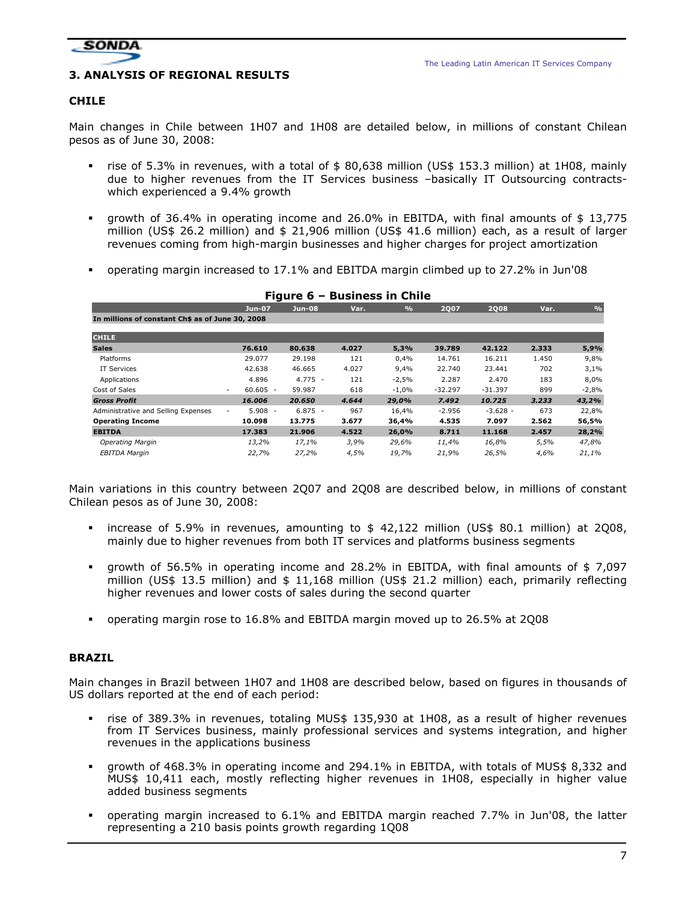

## 3. ANALYSIS OF REGIONAL RESULTS

## CHILE

Main changes in Chile between 1H07 and 1H08 are detailed below, in millions of constant Chilean pesos as of June 30, 2008:

- rise of 5.3% in revenues, with a total of \$ 80,638 million (US\$ 153.3 million) at 1H08, mainly due to higher revenues from the IT Services business –basically IT Outsourcing contractswhich experienced a 9.4% growth
- growth of 36.4% in operating income and 26.0% in EBITDA, with final amounts of \$ 13,775 million (US\$ 26.2 million) and \$ 21,906 million (US\$ 41.6 million) each, as a result of larger revenues coming from high-margin businesses and higher charges for project amortization
- operating margin increased to 17.1% and EBITDA margin climbed up to 27.2% in Jun'08

|                                                  | Jun-07               | <b>Jun-08</b> | Var.  | $\frac{9}{0}$ | <b>2Q07</b> | <b>2Q08</b> | Var.  | $\frac{0}{0}$ |
|--------------------------------------------------|----------------------|---------------|-------|---------------|-------------|-------------|-------|---------------|
| In millions of constant Ch\$ as of June 30, 2008 |                      |               |       |               |             |             |       |               |
| <b>CHILE</b>                                     |                      |               |       |               |             |             |       |               |
|                                                  |                      |               |       |               |             |             |       |               |
| <b>Sales</b>                                     | 76.610               | 80.638        | 4.027 | 5,3%          | 39.789      | 42.122      | 2.333 | 5,9%          |
| Platforms                                        | 29.077               | 29.198        | 121   | 0,4%          | 14.761      | 16.211      | 1.450 | 9,8%          |
| IT Services                                      | 42.638               | 46.665        | 4.027 | 9,4%          | 22.740      | 23.441      | 702   | 3,1%          |
| Applications                                     | 4.896                | $4.775 -$     | 121   | $-2,5%$       | 2.287       | 2.470       | 183   | 8,0%          |
| Cost of Sales                                    | $60.605 -$<br>$\sim$ | 59.987        | 618   | $-1,0%$       | $-32.297$   | $-31.397$   | 899   | $-2,8%$       |
| <b>Gross Profit</b>                              | 16.006               | 20,650        | 4.644 | 29,0%         | 7.492       | 10.725      | 3.233 | 43,2%         |
| Administrative and Selling Expenses              | $5.908 -$<br>۰.      | $6.875 -$     | 967   | 16,4%         | $-2.956$    | $-3.628 -$  | 673   | 22,8%         |
| <b>Operating Income</b>                          | 10.098               | 13.775        | 3.677 | 36,4%         | 4.535       | 7.097       | 2.562 | 56,5%         |
| <b>EBITDA</b>                                    | 17.383               | 21.906        | 4.522 | 26,0%         | 8.711       | 11.168      | 2.457 | 28,2%         |
| <b>Operating Margin</b>                          | 13,2%                | 17,1%         | 3,9%  | 29,6%         | 11,4%       | 16,8%       | 5,5%  | 47,8%         |
| <b>EBITDA Margin</b>                             | 22,7%                | 27,2%         | 4,5%  | 19,7%         | 21,9%       | 26,5%       | 4,6%  | 21,1%         |

#### Figure 6 – Business in Chile

Main variations in this country between 2Q07 and 2Q08 are described below, in millions of constant Chilean pesos as of June 30, 2008:

- increase of 5.9% in revenues, amounting to \$ 42,122 million (US\$ 80.1 million) at 2Q08, mainly due to higher revenues from both IT services and platforms business segments
- growth of 56.5% in operating income and 28.2% in EBITDA, with final amounts of \$ 7,097 million (US\$ 13.5 million) and \$ 11,168 million (US\$ 21.2 million) each, primarily reflecting higher revenues and lower costs of sales during the second quarter
- operating margin rose to 16.8% and EBITDA margin moved up to 26.5% at 2Q08

#### BRAZIL

Main changes in Brazil between 1H07 and 1H08 are described below, based on figures in thousands of US dollars reported at the end of each period:

- rise of 389.3% in revenues, totaling MUS\$ 135,930 at 1H08, as a result of higher revenues from IT Services business, mainly professional services and systems integration, and higher revenues in the applications business
- growth of 468.3% in operating income and 294.1% in EBITDA, with totals of MUS\$ 8,332 and MUS\$ 10,411 each, mostly reflecting higher revenues in 1H08, especially in higher value added business segments
- operating margin increased to 6.1% and EBITDA margin reached 7.7% in Jun'08, the latter representing a 210 basis points growth regarding 1Q08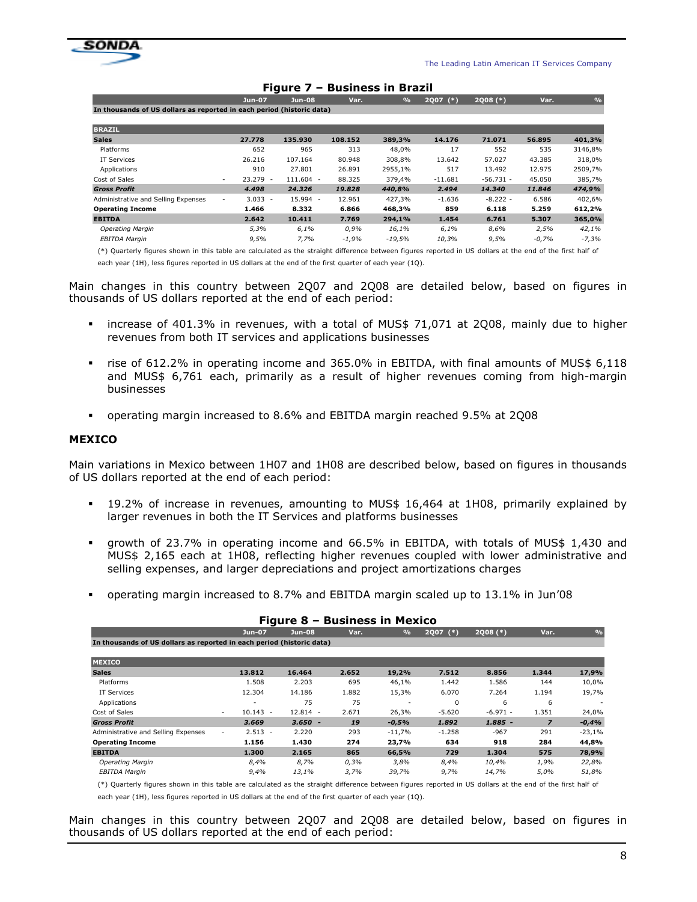

| .<br>раэнгсээ нг ргадн                                                |                                        |           |         |               |                      |             |         |               |  |  |  |
|-----------------------------------------------------------------------|----------------------------------------|-----------|---------|---------------|----------------------|-------------|---------|---------------|--|--|--|
|                                                                       | Jun-07                                 | Jun-08    | Var.    | $\frac{9}{6}$ | <b>2Q07</b><br>$(*)$ | $2Q08$ (*)  | Var.    | $\frac{1}{2}$ |  |  |  |
| In thousands of US dollars as reported in each period (historic data) |                                        |           |         |               |                      |             |         |               |  |  |  |
|                                                                       |                                        |           |         |               |                      |             |         |               |  |  |  |
| <b>BRAZIL</b>                                                         |                                        |           |         |               |                      |             |         |               |  |  |  |
| <b>Sales</b>                                                          | 27.778                                 | 135.930   | 108.152 | 389,3%        | 14.176               | 71.071      | 56.895  | 401,3%        |  |  |  |
| Platforms                                                             | 652                                    | 965       | 313     | 48,0%         | 17                   | 552         | 535     | 3146,8%       |  |  |  |
| <b>IT Services</b>                                                    | 26.216                                 | 107.164   | 80.948  | 308,8%        | 13.642               | 57.027      | 43.385  | 318,0%        |  |  |  |
| Applications                                                          | 910                                    | 27.801    | 26.891  | 2955,1%       | 517                  | 13.492      | 12.975  | 2509,7%       |  |  |  |
| Cost of Sales                                                         | $23.279 -$<br>$\overline{\phantom{a}}$ | 111.604 - | 88.325  | 379,4%        | $-11.681$            | $-56.731 -$ | 45.050  | 385,7%        |  |  |  |
| <b>Gross Profit</b>                                                   | 4.498                                  | 24,326    | 19,828  | 440.8%        | 2.494                | 14,340      | 11.846  | 474,9%        |  |  |  |
| Administrative and Selling Expenses                                   | $3.033 -$<br>$\overline{\phantom{a}}$  | 15.994 -  | 12.961  | 427,3%        | $-1.636$             | $-8.222 -$  | 6.586   | 402,6%        |  |  |  |
| <b>Operating Income</b>                                               | 1.466                                  | 8.332     | 6.866   | 468,3%        | 859                  | 6.118       | 5.259   | 612,2%        |  |  |  |
| <b>EBITDA</b>                                                         | 2.642                                  | 10.411    | 7.769   | 294,1%        | 1.454                | 6.761       | 5.307   | 365,0%        |  |  |  |
| <b>Operating Margin</b>                                               | 5,3%                                   | 6,1%      | 0,9%    | 16,1%         | 6,1%                 | 8,6%        | 2,5%    | 42,1%         |  |  |  |
| EBITDA Margin                                                         | 9,5%                                   | 7,7%      | $-1,9%$ | $-19,5%$      | 10,3%                | 9,5%        | $-0,7%$ | $-7,3%$       |  |  |  |

#### Figure 7 – Business in Brazil

(\*) Quarterly figures shown in this table are calculated as the straight difference between figures reported in US dollars at the end of the first half of each year (1H), less figures reported in US dollars at the end of the first quarter of each year (1Q).

Main changes in this country between 2Q07 and 2Q08 are detailed below, based on figures in thousands of US dollars reported at the end of each period:

- increase of 401.3% in revenues, with a total of MUS\$ 71,071 at 2Q08, mainly due to higher revenues from both IT services and applications businesses
- rise of 612.2% in operating income and 365.0% in EBITDA, with final amounts of MUS\$ 6,118 and MUS\$ 6,761 each, primarily as a result of higher revenues coming from high-margin businesses
- operating margin increased to 8.6% and EBITDA margin reached 9.5% at 2Q08

#### MEXICO

Main variations in Mexico between 1H07 and 1H08 are described below, based on figures in thousands of US dollars reported at the end of each period:

- 19.2% of increase in revenues, amounting to MUS\$ 16,464 at 1H08, primarily explained by larger revenues in both the IT Services and platforms businesses
- growth of 23.7% in operating income and 66.5% in EBITDA, with totals of MUS\$ 1,430 and MUS\$ 2,165 each at 1H08, reflecting higher revenues coupled with lower administrative and selling expenses, and larger depreciations and project amortizations charges
- operating margin increased to 8.7% and EBITDA margin scaled up to 13.1% in Jun'08

|                                                                       |                                        | Figure 8 - Business in Mexico |       |               |            |            |                |               |
|-----------------------------------------------------------------------|----------------------------------------|-------------------------------|-------|---------------|------------|------------|----------------|---------------|
|                                                                       | Jun-07                                 | $Jun-08$                      | Var.  | $\frac{9}{6}$ | 2007 $(*)$ | $2Q08$ (*) | Var.           | $\frac{1}{2}$ |
| In thousands of US dollars as reported in each period (historic data) |                                        |                               |       |               |            |            |                |               |
| <b>MEXICO</b>                                                         |                                        |                               |       |               |            |            |                |               |
| <b>Sales</b>                                                          | 13.812                                 | 16,464                        | 2.652 | 19,2%         | 7.512      | 8.856      | 1.344          | 17,9%         |
| Platforms                                                             | 1.508                                  | 2.203                         | 695   | 46,1%         | 1.442      | 1.586      | 144            | 10,0%         |
| IT Services                                                           | 12.304                                 | 14.186                        | 1.882 | 15,3%         | 6.070      | 7.264      | 1.194          | 19,7%         |
| Applications                                                          |                                        | 75                            | 75    |               | $\Omega$   | 6          | 6              |               |
| Cost of Sales                                                         | $10.143 -$<br>$\overline{\phantom{a}}$ | 12.814 -                      | 2.671 | 26,3%         | $-5.620$   | $-6.971 -$ | 1.351          | 24,0%         |
| <b>Gross Profit</b>                                                   | 3.669                                  | $3.650 -$                     | 19    | $-0.5%$       | 1.892      | $1.885 -$  | $\overline{z}$ | $-0,4%$       |
| Administrative and Selling Expenses                                   | $2.513 -$<br>۰                         | 2.220                         | 293   | $-11,7%$      | $-1.258$   | $-967$     | 291            | $-23,1%$      |
| <b>Operating Income</b>                                               | 1.156                                  | 1.430                         | 274   | 23,7%         | 634        | 918        | 284            | 44,8%         |
| <b>EBITDA</b>                                                         | 1.300                                  | 2.165                         | 865   | 66,5%         | 729        | 1.304      | 575            | 78,9%         |
| Operating Margin                                                      | 8,4%                                   | 8,7%                          | 0,3%  | 3,8%          | 8,4%       | 10,4%      | 1,9%           | 22,8%         |
| EBITDA Margin                                                         | 9,4%                                   | 13,1%                         | 3,7%  | 39,7%         | 9,7%       | 14,7%      | 5,0%           | 51,8%         |

#### Figure 8 – Business in Mexico

(\*) Quarterly figures shown in this table are calculated as the straight difference between figures reported in US dollars at the end of the first half of

each year (1H), less figures reported in US dollars at the end of the first quarter of each year (1Q).

Main changes in this country between 2Q07 and 2Q08 are detailed below, based on figures in thousands of US dollars reported at the end of each period: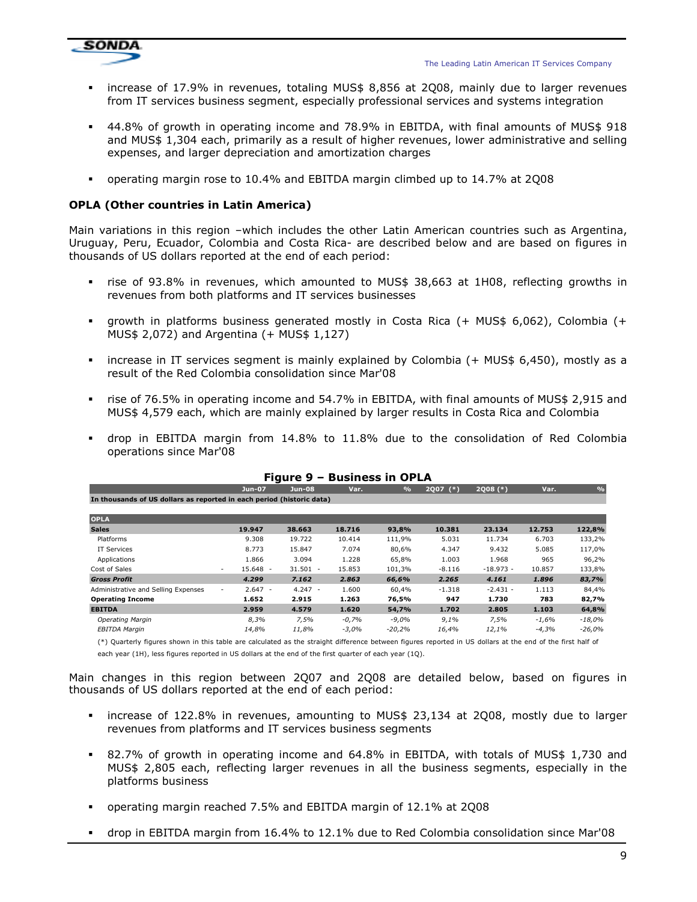

- increase of 17.9% in revenues, totaling MUS\$ 8,856 at 2Q08, mainly due to larger revenues from IT services business segment, especially professional services and systems integration
- 44.8% of growth in operating income and 78.9% in EBITDA, with final amounts of MUS\$ 918 and MUS\$ 1,304 each, primarily as a result of higher revenues, lower administrative and selling expenses, and larger depreciation and amortization charges
- operating margin rose to 10.4% and EBITDA margin climbed up to 14.7% at 2Q08

## OPLA (Other countries in Latin America)

Main variations in this region –which includes the other Latin American countries such as Argentina, Uruguay, Peru, Ecuador, Colombia and Costa Rica- are described below and are based on figures in thousands of US dollars reported at the end of each period:

- rise of 93.8% in revenues, which amounted to MUS\$ 38,663 at 1H08, reflecting growths in revenues from both platforms and IT services businesses
- growth in platforms business generated mostly in Costa Rica (+ MUS\$ 6,062), Colombia (+ MUS\$ 2,072) and Argentina (+ MUS\$ 1,127)
- increase in IT services segment is mainly explained by Colombia (+ MUS\$ 6,450), mostly as a result of the Red Colombia consolidation since Mar'08
- rise of 76.5% in operating income and 54.7% in EBITDA, with final amounts of MUS\$ 2,915 and MUS\$ 4,579 each, which are mainly explained by larger results in Costa Rica and Colombia
- drop in EBITDA margin from 14.8% to 11.8% due to the consolidation of Red Colombia operations since Mar'08

|                                                                       |                      | r igure <i>s</i> | PUSIIICSS III VF LA |               |                      |             |         |               |
|-----------------------------------------------------------------------|----------------------|------------------|---------------------|---------------|----------------------|-------------|---------|---------------|
|                                                                       | <b>Jun-07</b>        | <b>Jun-08</b>    | Var.                | $\frac{9}{6}$ | <b>2Q07</b><br>$(*)$ | $2Q08$ (*)  | Var.    | $\frac{9}{0}$ |
| In thousands of US dollars as reported in each period (historic data) |                      |                  |                     |               |                      |             |         |               |
| <b>OPLA</b>                                                           |                      |                  |                     |               |                      |             |         |               |
| <b>Sales</b>                                                          | 19.947               | 38.663           | 18.716              | 93,8%         | 10.381               | 23.134      | 12.753  | 122,8%        |
| Platforms                                                             | 9.308                | 19.722           | 10.414              | 111,9%        | 5.031                | 11.734      | 6.703   | 133,2%        |
| IT Services                                                           | 8.773                | 15.847           | 7.074               | 80,6%         | 4.347                | 9.432       | 5.085   | 117,0%        |
| Applications                                                          | 1.866                | 3.094            | 1.228               | 65,8%         | 1.003                | 1.968       | 965     | 96,2%         |
| Cost of Sales                                                         | $15.648 -$<br>$\sim$ | $31.501 -$       | 15.853              | 101,3%        | $-8.116$             | $-18.973 -$ | 10.857  | 133,8%        |
| <b>Gross Profit</b>                                                   | 4.299                | 7.162            | 2.863               | 66,6%         | 2.265                | 4.161       | 1.896   | 83,7%         |
| Administrative and Selling Expenses                                   | $2.647 -$<br>$\sim$  | $4.247 -$        | 1.600               | 60,4%         | $-1.318$             | $-2.431 -$  | 1.113   | 84,4%         |
| <b>Operating Income</b>                                               | 1.652                | 2.915            | 1.263               | 76,5%         | 947                  | 1.730       | 783     | 82,7%         |
| <b>EBITDA</b>                                                         | 2.959                | 4.579            | 1.620               | 54,7%         | 1.702                | 2.805       | 1.103   | 64,8%         |
| Operating Margin                                                      | 8,3%                 | 7,5%             | $-0,7%$             | $-9,0%$       | 9,1%                 | 7,5%        | $-1,6%$ | $-18,0%$      |
| <b>EBITDA Margin</b>                                                  | 14,8%                | 11,8%            | $-3,0%$             | $-20,2%$      | 16,4%                | 12,1%       | $-4,3%$ | $-26,0%$      |
|                                                                       |                      |                  |                     |               |                      |             |         |               |

#### Figure 9 – Business in OPLA

(\*) Quarterly figures shown in this table are calculated as the straight difference between figures reported in US dollars at the end of the first half of

each year (1H), less figures reported in US dollars at the end of the first quarter of each year (1Q).

Main changes in this region between 2Q07 and 2Q08 are detailed below, based on figures in thousands of US dollars reported at the end of each period:

- increase of 122.8% in revenues, amounting to MUS\$ 23,134 at 2Q08, mostly due to larger revenues from platforms and IT services business segments
- 82.7% of growth in operating income and 64.8% in EBITDA, with totals of MUS\$ 1,730 and MUS\$ 2,805 each, reflecting larger revenues in all the business segments, especially in the platforms business
- operating margin reached 7.5% and EBITDA margin of 12.1% at 2Q08
- drop in EBITDA margin from 16.4% to 12.1% due to Red Colombia consolidation since Mar'08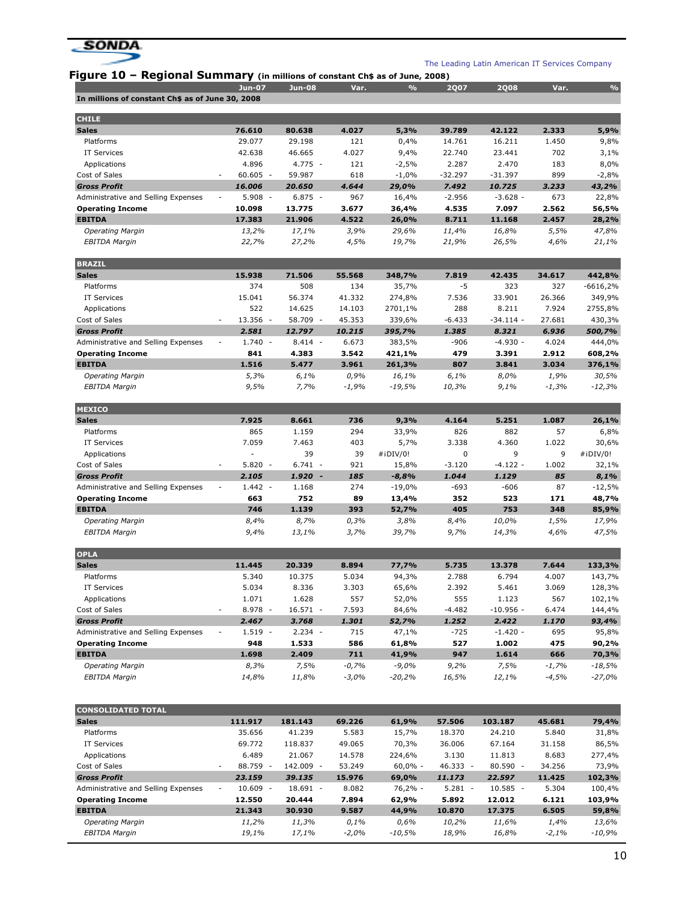

Figure 10 - Regional Summary (in millions of constant Ch\$ as of June, 2008)

|                                                  | <b>Jun-07</b>                                                  | $Jun-08$  | Var.  | $\frac{0}{0}$ | <b>2Q07</b> | <b>2Q08</b> | Var.  | $\frac{0}{0}$ |
|--------------------------------------------------|----------------------------------------------------------------|-----------|-------|---------------|-------------|-------------|-------|---------------|
| In millions of constant Ch\$ as of June 30, 2008 |                                                                |           |       |               |             |             |       |               |
| <b>CHILE</b>                                     |                                                                |           |       |               |             |             |       |               |
| <b>Sales</b>                                     | 76.610                                                         | 80.638    | 4.027 | 5,3%          | 39.789      | 42.122      | 2.333 | 5,9%          |
| Platforms                                        | 29.077                                                         | 29.198    | 121   | 0,4%          | 14.761      | 16.211      | 1.450 | 9,8%          |
| <b>IT Services</b>                               | 42.638                                                         | 46.665    | 4.027 | 9,4%          | 22.740      | 23.441      | 702   | 3,1%          |
| Applications                                     | 4.896                                                          | $4.775 -$ | 121   | $-2,5%$       | 2.287       | 2.470       | 183   | 8,0%          |
| Cost of Sales                                    | 60.605<br>$\overline{\phantom{0}}$<br>$\overline{\phantom{a}}$ | 59.987    | 618   | $-1,0%$       | $-32.297$   | $-31.397$   | 899   | $-2,8%$       |
| <b>Gross Profit</b>                              | 16.006                                                         | 20.650    | 4.644 | 29,0%         | 7.492       | 10.725      | 3.233 | 43,2%         |
| Administrative and Selling Expenses              | 5.908<br>$\overline{\phantom{a}}$                              | $6.875 -$ | 967   | 16,4%         | $-2.956$    | $-3.628 -$  | 673   | 22,8%         |
| <b>Operating Income</b>                          | 10.098                                                         | 13.775    | 3.677 | 36,4%         | 4.535       | 7.097       | 2.562 | 56,5%         |
| <b>EBITDA</b>                                    | 17.383                                                         | 21.906    | 4.522 | 26,0%         | 8.711       | 11.168      | 2.457 | 28,2%         |
| <b>Operating Margin</b>                          | 13,2%                                                          | 17,1%     | 3,9%  | 29,6%         | 11,4%       | 16,8%       | 5,5%  | 47,8%         |
| <b>EBITDA Margin</b>                             | 22,7%                                                          | 27,2%     | 4,5%  | 19,7%         | 21,9%       | 26,5%       | 4,6%  | 21,1%         |

| <b>BRAZIL</b>                       |                          |           |           |         |          |          |             |         |            |
|-------------------------------------|--------------------------|-----------|-----------|---------|----------|----------|-------------|---------|------------|
| <b>Sales</b>                        |                          | 15.938    | 71.506    | 55.568  | 348,7%   | 7.819    | 42.435      | 34.617  | 442,8%     |
| Platforms                           |                          | 374       | 508       | 134     | 35,7%    | -5       | 323         | 327     | $-6616,2%$ |
| <b>IT Services</b>                  |                          | 15.041    | 56.374    | 41.332  | 274.8%   | 7.536    | 33.901      | 26.366  | 349,9%     |
| Applications                        |                          | 522       | 14.625    | 14.103  | 2701,1%  | 288      | 8.211       | 7.924   | 2755,8%    |
| Cost of Sales                       | $\overline{\phantom{a}}$ | 13.356 -  | 58.709 -  | 45.353  | 339.6%   | $-6.433$ | $-34.114 -$ | 27.681  | 430,3%     |
| <b>Gross Profit</b>                 |                          | 2.581     | 12.797    | 10.215  | 395,7%   | 1.385    | 8.321       | 6.936   | 500,7%     |
| Administrative and Selling Expenses | $\overline{\phantom{a}}$ | $1.740 -$ | $8.414 -$ | 6.673   | 383.5%   | $-906$   | $-4.930 -$  | 4.024   | 444.0%     |
| <b>Operating Income</b>             |                          | 841       | 4.383     | 3.542   | 421.1%   | 479      | 3.391       | 2.912   | 608,2%     |
| <b>EBITDA</b>                       |                          | 1.516     | 5.477     | 3.961   | 261,3%   | 807      | 3.841       | 3.034   | 376,1%     |
| Operating Margin                    |                          | 5,3%      | 6,1%      | 0,9%    | 16,1%    | 6,1%     | 8,0%        | 1,9%    | 30,5%      |
| <b>EBITDA Margin</b>                |                          | 9,5%      | 7.7%      | $-1,9%$ | $-19.5%$ | 10,3%    | 9,1%        | $-1,3%$ | $-12,3%$   |
|                                     |                          |           |           |         |          |          |             |         |            |

| <b>MEXICO</b>                       |        |                                   |           |      |              |          |            |       |              |
|-------------------------------------|--------|-----------------------------------|-----------|------|--------------|----------|------------|-------|--------------|
| <b>Sales</b>                        |        | 7.925                             | 8.661     | 736  | 9,3%         | 4.164    | 5.251      | 1.087 | 26,1%        |
| Platforms                           |        | 865                               | 1.159     | 294  | 33,9%        | 826      | 882        | 57    | 6,8%         |
| IT Services                         |        | 7.059                             | 7.463     | 403  | 5,7%         | 3.338    | 4.360      | 1.022 | 30,6%        |
| Applications                        |        | -                                 | 39        | 39   | $\#$ iDIV/0! | 0        | 9          | 9     | $\#$ iDIV/0! |
| Cost of Sales                       | $\sim$ | 5.820<br>$\overline{\phantom{a}}$ | $6.741 -$ | 921  | 15,8%        | $-3.120$ | $-4.122 -$ | 1.002 | 32,1%        |
| <b>Gross Profit</b>                 |        | 2.105                             | $1.920 -$ | 185  | $-8,8%$      | 1.044    | 1.129      | 85    | 8,1%         |
| Administrative and Selling Expenses | $\sim$ | $1.442 -$                         | 1.168     | 274  | $-19,0%$     | $-693$   | $-606$     | 87    | $-12,5%$     |
| <b>Operating Income</b>             |        | 663                               | 752       | 89   | 13,4%        | 352      | 523        | 171   | 48,7%        |
| <b>EBITDA</b>                       |        | 746                               | 1.139     | 393  | 52,7%        | 405      | 753        | 348   | 85,9%        |
| <b>Operating Margin</b>             |        | 8,4%                              | 8,7%      | 0,3% | 3,8%         | 8,4%     | 10,0%      | 1,5%  | 17,9%        |
| <b>EBITDA Margin</b>                |        | 9,4%                              | 13,1%     | 3,7% | 39,7%        | 9,7%     | 14,3%      | 4,6%  | 47,5%        |

| <b>OPLA</b>                         |        |                                   |            |         |          |          |             |         |           |
|-------------------------------------|--------|-----------------------------------|------------|---------|----------|----------|-------------|---------|-----------|
| <b>Sales</b>                        |        | 11.445                            | 20.339     | 8.894   | 77,7%    | 5.735    | 13.378      | 7.644   | 133,3%    |
| Platforms                           |        | 5.340                             | 10.375     | 5.034   | 94,3%    | 2.788    | 6.794       | 4.007   | 143,7%    |
| <b>IT Services</b>                  |        | 5.034                             | 8.336      | 3.303   | 65,6%    | 2.392    | 5.461       | 3.069   | 128,3%    |
| Applications                        |        | 1.071                             | 1.628      | 557     | 52,0%    | 555      | 1.123       | 567     | 102,1%    |
| Cost of Sales                       | $\sim$ | 8.978<br>$\overline{\phantom{a}}$ | $16.571 -$ | 7.593   | 84.6%    | $-4.482$ | $-10.956 -$ | 6.474   | 144,4%    |
| <b>Gross Profit</b>                 |        | 2.467                             | 3.768      | 1.301   | 52,7%    | 1.252    | 2.422       | 1.170   | 93,4%     |
| Administrative and Selling Expenses | $\sim$ | $1.519 -$                         | $2.234 -$  | 715     | 47.1%    | $-725$   | $-1.420 -$  | 695     | 95,8%     |
| <b>Operating Income</b>             |        | 948                               | 1.533      | 586     | 61.8%    | 527      | 1.002       | 475     | 90,2%     |
| <b>EBITDA</b>                       |        | 1.698                             | 2.409      | 711     | 41,9%    | 947      | 1.614       | 666     | 70,3%     |
| <b>Operating Margin</b>             |        | 8,3%                              | 7,5%       | $-0,7%$ | $-9,0%$  | 9,2%     | 7,5%        | $-1,7%$ | $-18,5%$  |
| <b>EBITDA Margin</b>                |        | 14.8%                             | 11.8%      | $-3,0%$ | $-20.2%$ | 16,5%    | 12,1%       | $-4,5%$ | $-27.0\%$ |

| <b>CONSOLIDATED TOTAL</b>           |                                        |                   |         |            |                 |                  |         |          |
|-------------------------------------|----------------------------------------|-------------------|---------|------------|-----------------|------------------|---------|----------|
| <b>Sales</b>                        | 111.917                                | 181.143           | 69.226  | 61.9%      | 57.506          | 103.187          | 45.681  | 79,4%    |
| Platforms                           | 35.656                                 | 41.239            | 5.583   | 15,7%      | 18.370          | 24.210           | 5.840   | 31,8%    |
| <b>IT Services</b>                  | 69.772                                 | 118.837           | 49.065  | 70,3%      | 36.006          | 67.164           | 31.158  | 86,5%    |
| Applications                        | 6.489                                  | 21.067            | 14.578  | 224.6%     | 3.130           | 11.813           | 8.683   | 277,4%   |
| Cost of Sales                       | 88.759 -<br>$\overline{\phantom{a}}$   | 142.009<br>$\sim$ | 53.249  | $60.0\%$ - | $46.333 -$      | 80.590<br>$\sim$ | 34.256  | 73,9%    |
| <b>Gross Profit</b>                 | 23.159                                 | 39.135            | 15.976  | 69.0%      | 11.173          | 22.597           | 11.425  | 102,3%   |
| Administrative and Selling Expenses | $10.609 -$<br>$\overline{\phantom{a}}$ | $18.691 -$        | 8.082   | 76.2% -    | 5.281<br>$\sim$ | 10.585<br>$\sim$ | 5.304   | 100,4%   |
| <b>Operating Income</b>             | 12.550                                 | 20.444            | 7.894   | 62.9%      | 5.892           | 12.012           | 6.121   | 103,9%   |
| <b>EBITDA</b>                       | 21.343                                 | 30,930            | 9.587   | 44.9%      | 10.870          | 17.375           | 6.505   | 59,8%    |
| <b>Operating Margin</b>             | 11,2%                                  | 11,3%             | 0,1%    | 0,6%       | 10,2%           | 11,6%            | 1,4%    | 13,6%    |
| <b>EBITDA Margin</b>                | 19,1%                                  | 17,1%             | $-2,0%$ | $-10,5%$   | 18,9%           | 16,8%            | $-2,1%$ | $-10,9%$ |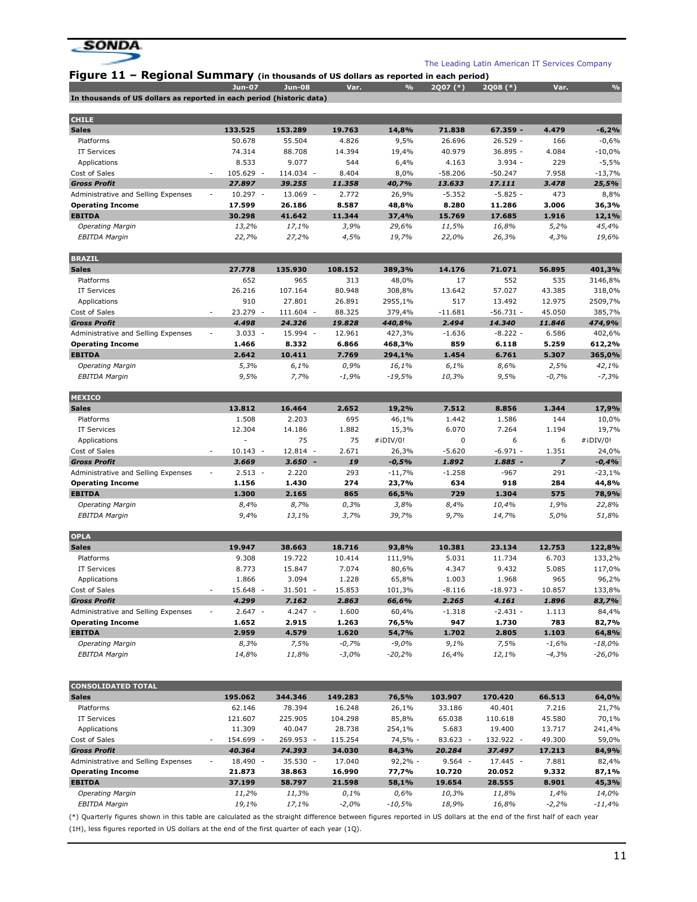

|                                                                       | <b>Jun-07</b>                                  | <b>Jun-08</b>      | Var.             | $\frac{9}{6}$    | 2Q07 (*)          | 2Q08 (*)             | Var.            | $\mathcal{O}_{\!\!/\!\!0}$ |
|-----------------------------------------------------------------------|------------------------------------------------|--------------------|------------------|------------------|-------------------|----------------------|-----------------|----------------------------|
| In thousands of US dollars as reported in each period (historic data) |                                                |                    |                  |                  |                   |                      |                 |                            |
| <b>CHILE</b>                                                          |                                                |                    |                  |                  |                   |                      |                 |                            |
| <b>Sales</b>                                                          | 133.525                                        | 153.289            | 19.763           | 14,8%            | 71.838            | 67.359 -             | 4.479           | $-6,2%$                    |
| Platforms                                                             | 50.678                                         | 55.504             | 4.826            | 9,5%             | 26.696            | $26.529 -$           | 166             | $-0,6%$                    |
| <b>IT Services</b>                                                    | 74.314                                         | 88.708             | 14.394           | 19,4%            | 40.979            | 36.895 -             | 4.084           | $-10,0%$                   |
| Applications                                                          | 8.533                                          | 9.077              | 544              | 6,4%             | 4.163             | $3.934 -$            | 229             | $-5,5%$                    |
| Cost of Sales                                                         | 105.629 -                                      | 114.034 -          | 8.404            | 8,0%             | $-58.206$         | $-50.247$            | 7.958           | $-13,7%$                   |
| <b>Gross Profit</b>                                                   | 27.897                                         | 39.255             | 11.358           | 40,7%            | 13.633            | 17.111               | 3.478           | 25,5%                      |
| Administrative and Selling Expenses                                   | $10.297 -$<br>$\overline{a}$                   | 13.069 -           | 2.772            | 26,9%            | $-5.352$          | $-5.825 -$           | 473             | 8,8%                       |
| <b>Operating Income</b>                                               | 17.599                                         | 26.186             | 8.587            | 48,8%            | 8.280             | 11.286               | 3.006           | 36,3%                      |
| <b>EBITDA</b>                                                         | 30.298                                         | 41.642             | 11.344           | 37,4%            | 15.769            | 17.685               | 1.916           | 12,1%                      |
| <b>Operating Margin</b>                                               | 13,2%                                          | 17,1%              | 3,9%             | 29,6%            | 11,5%             | 16,8%                | 5,2%            | 45,4%                      |
| <b>EBITDA Margin</b>                                                  | 22,7%                                          | 27,2%              | 4,5%             | 19,7%            | 22,0%             | 26,3%                | 4,3%            | 19,6%                      |
| <b>BRAZIL</b>                                                         |                                                |                    |                  |                  |                   |                      |                 |                            |
| <b>Sales</b>                                                          | 27.778                                         | 135.930            | 108.152          | 389,3%           | 14.176            | 71.071               | 56.895          | 401,3%                     |
| Platforms                                                             | 652                                            | 965                | 313              | 48,0%            | 17                | 552                  | 535             | 3146,8%                    |
| <b>IT Services</b>                                                    | 26.216                                         | 107.164            | 80.948           | 308,8%           | 13.642            | 57.027               | 43.385          | 318,0%                     |
| Applications                                                          | 910                                            | 27.801             | 26.891           | 2955,1%          | 517               | 13.492               | 12.975          | 2509,7%                    |
| Cost of Sales<br><b>Gross Profit</b>                                  | 23.279<br>$\sim$                               | 111.604 -          | 88.325           | 379,4%           | $-11.681$         | $-56.731 -$          | 45.050          | 385,7%                     |
|                                                                       | 4.498<br>$3.033 -$<br>$\overline{\phantom{a}}$ | 24.326<br>15.994 - | 19.828<br>12.961 | 440,8%           | 2.494<br>$-1.636$ | 14.340<br>$-8.222 -$ | 11.846<br>6.586 | 474,9%                     |
| Administrative and Selling Expenses<br><b>Operating Income</b>        | 1.466                                          | 8.332              | 6.866            | 427,3%<br>468,3% | 859               | 6.118                | 5.259           | 402,6%<br>612,2%           |
| <b>EBITDA</b>                                                         | 2.642                                          | 10.411             | 7.769            | 294,1%           | 1.454             | 6.761                | 5.307           | 365,0%                     |
| <b>Operating Margin</b>                                               | 5,3%                                           | 6,1%               | 0,9%             | 16,1%            | 6,1%              | 8,6%                 | 2,5%            | 42,1%                      |
| <b>EBITDA Margin</b>                                                  | 9,5%                                           | 7,7%               | $-1,9%$          | $-19,5%$         | 10,3%             | 9,5%                 | $-0,7%$         | $-7,3%$                    |
|                                                                       |                                                |                    |                  |                  |                   |                      |                 |                            |
| <b>MEXICO</b><br><b>Sales</b>                                         | 13.812                                         | 16.464             | 2.652            | 19,2%            | 7.512             | 8.856                | 1.344           | 17,9%                      |
| Platforms                                                             | 1.508                                          | 2.203              | 695              | 46,1%            | 1.442             | 1.586                | 144             | 10,0%                      |
| <b>IT Services</b>                                                    | 12.304                                         | 14.186             | 1.882            | 15,3%            | 6.070             | 7.264                | 1.194           | 19,7%                      |
| Applications                                                          | ٠                                              | 75                 | 75               | #iDIV/0!         | 0                 | 6                    | 6               | #iDIV/0!                   |
| Cost of Sales                                                         | $10.143 -$                                     | 12.814 -           | 2.671            | 26,3%            | $-5.620$          | $-6.971 -$           | 1.351           | 24,0%                      |
| <b>Gross Profit</b>                                                   | 3.669                                          | $3.650 -$          | 19               | $-0,5%$          | 1.892             | 1.885 -              | $\overline{z}$  | $-0,4%$                    |
| Administrative and Selling Expenses                                   | $2.513 -$<br>$\overline{\phantom{a}}$          | 2.220              | 293              | $-11,7%$         | $-1.258$          | $-967$               | 291             | $-23,1%$                   |
| <b>Operating Income</b>                                               | 1.156                                          | 1.430              | 274              | 23,7%            | 634               | 918                  | 284             | 44,8%                      |
| <b>EBITDA</b>                                                         | 1.300                                          | 2.165              | 865              | 66,5%            | 729               | 1.304                | 575             | 78,9%                      |
| <b>Operating Margin</b>                                               | 8,4%                                           | 8,7%               | 0,3%             | 3,8%             | 8,4%              | 10,4%                | 1,9%            | 22,8%                      |
| <b>EBITDA Margin</b>                                                  | 9,4%                                           | 13,1%              | 3,7%             | 39,7%            | 9,7%              | 14,7%                | 5,0%            | 51,8%                      |
| <b>OPLA</b>                                                           |                                                |                    |                  |                  |                   |                      |                 |                            |
| <b>Sales</b>                                                          | 19.947                                         | 38.663             | 18.716           | 93,8%            | 10.381            | 23.134               | 12.753          | 122,8%                     |
| Platforms                                                             | 9.308                                          | 19.722             | 10.414           | 111,9%           | 5.031             | 11.734               | 6.703           | 133,2%                     |
| <b>IT Services</b>                                                    | 8.773                                          | 15.847             | 7.074            | 80,6%            | 4.347             | 9.432                | 5.085           | 117,0%                     |
| Applications                                                          | 1.866                                          | 3.094              | 1.228            | 65,8%            | 1.003             | 1.968                | 965             | 96,2%                      |
| Cost of Sales                                                         | 15.648 -                                       | $31.501 -$         | 15.853           | 101,3%           | $-8.116$          | $-18.973 -$          | 10.857          | 133,8%                     |
| <b>Gross Profit</b>                                                   | 4.299                                          | 7.162              | 2.863            | 66,6%            | 2.265             | 4.161<br>$-2.431 -$  | 1.896           | 83,7%                      |
| Administrative and Selling Expenses<br><b>Operating Income</b>        | $2.647 -$<br>1.652                             | $4.247 -$<br>2.915 | 1.600<br>1.263   | 60,4%            | $-1.318$<br>947   |                      | 1.113<br>783    | 84,4%                      |
| <b>EBITDA</b>                                                         | 2.959                                          | 4.579              | 1.620            | 76,5%<br>54,7%   | 1.702             | 1.730<br>2.805       | 1.103           | 82,7%<br>64,8%             |
| <b>Operating Margin</b>                                               | 8,3%                                           | 7,5%               | $-0,7%$          | $-9,0%$          | 9,1%              | 7,5%                 | $-1,6%$         | $-18,0%$                   |
| <b>EBITDA Margin</b>                                                  | 14,8%                                          | 11,8%              | $-3,0%$          | -20,2%           | 16,4%             | 12,1%                | $-4,3%$         | $-26,0%$                   |
|                                                                       |                                                |                    |                  |                  |                   |                      |                 |                            |
| <b>CONSOLIDATED TOTAL</b><br><b>Sales</b>                             | 195.062                                        | 344.346            | 149.283          | 76,5%            | 103.907           | 170.420              | 66.513          | 64,0%                      |
| Platforms                                                             | 62.146                                         | 78.394             | 16.248           | 26,1%            | 33.186            | 40.401               | 7.216           | 21,7%                      |
| IT Services                                                           | 121.607                                        | 225.905            | 104.298          | 85,8%            | 65.038            | 110.618              | 45.580          | 70,1%                      |
| Applications                                                          | 11.309                                         | 40.047             | 28.738           | 254,1%           | 5.683             | 19.400               | 13.717          | 241,4%                     |
| Cost of Sales                                                         | 154.699 -                                      | 269.953 -          | 115.254          | 74,5% -          | $83.623 -$        | 132.922 -            | 49.300          | 59,0%                      |
| <b>Gross Profit</b>                                                   | 40.364                                         | 74.393             | 34.030           | 84,3%            | 20.284            | 37.497               | 17.213          | 84,9%                      |
| Administrative and Selling Expenses                                   | 18.490 -                                       | $35.530 -$         | 17.040           | $92,2% -$        | $9.564 -$         | 17.445 -             | 7.881           | 82,4%                      |
| <b>Operating Income</b>                                               | 21.873                                         | 38.863             | 16.990           | 77,7%            | 10.720            | 20.052               | 9.332           | 87,1%                      |
| <b>EBITDA</b>                                                         | 37.199                                         | 58.797             | 21.598           | 58,1%            | 19.654            | 28.555               | 8.901           | 45,3%                      |
| <b>Operating Margin</b>                                               | 11,2%                                          | 11,3%              | 0,1%             | 0,6%             | 10,3%             | 11,8%                | 1,4%            | 14,0%                      |
| <b>EBITDA Margin</b>                                                  | 19,1%                                          | 17,1%              | $-2,0%$          | $-10,5%$         | 18,9%             | 16,8%                | $-2,2%$         | $-11,4%$                   |

(\*) Quarterly figures shown in this table are calculated as the straight difference between figures reported in US dollars at the end of the first half of each year (1H), less figures reported in US dollars at the end of the first quarter of each year (1Q).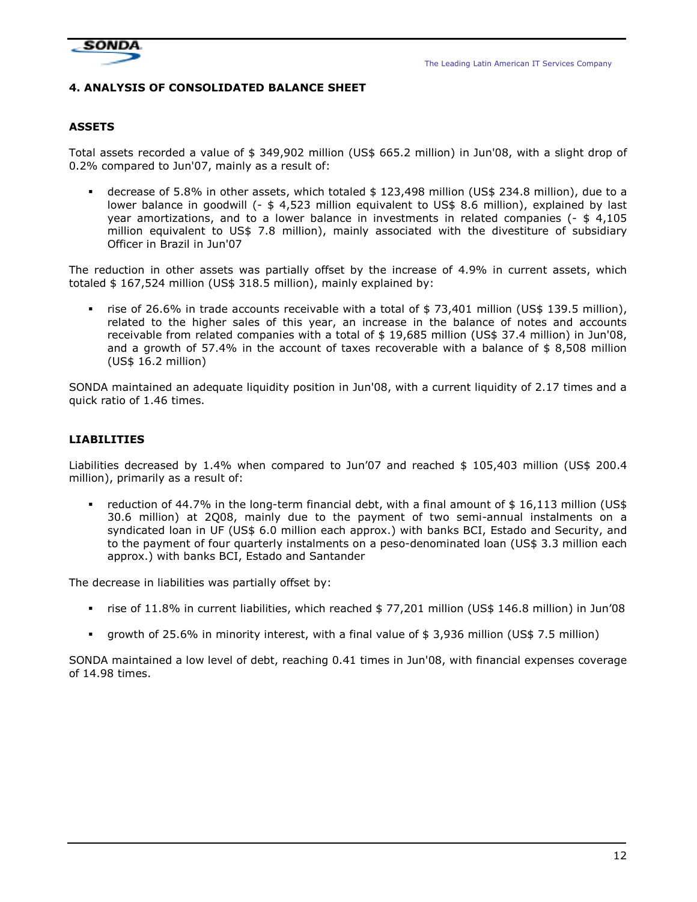

## 4. ANALYSIS OF CONSOLIDATED BALANCE SHEET

#### **ASSETS**

Total assets recorded a value of \$ 349,902 million (US\$ 665.2 million) in Jun'08, with a slight drop of 0.2% compared to Jun'07, mainly as a result of:

 decrease of 5.8% in other assets, which totaled \$ 123,498 million (US\$ 234.8 million), due to a lower balance in goodwill (- \$ 4,523 million equivalent to US\$ 8.6 million), explained by last year amortizations, and to a lower balance in investments in related companies (- \$ 4,105 million equivalent to US\$ 7.8 million), mainly associated with the divestiture of subsidiary Officer in Brazil in Jun'07

The reduction in other assets was partially offset by the increase of 4.9% in current assets, which totaled \$ 167,524 million (US\$ 318.5 million), mainly explained by:

 rise of 26.6% in trade accounts receivable with a total of \$ 73,401 million (US\$ 139.5 million), related to the higher sales of this year, an increase in the balance of notes and accounts receivable from related companies with a total of \$ 19,685 million (US\$ 37.4 million) in Jun'08, and a growth of 57.4% in the account of taxes recoverable with a balance of  $$ 8,508$  million (US\$ 16.2 million)

SONDA maintained an adequate liquidity position in Jun'08, with a current liquidity of 2.17 times and a quick ratio of 1.46 times.

## LIABILITIES

Liabilities decreased by 1.4% when compared to Jun'07 and reached \$ 105,403 million (US\$ 200.4 million), primarily as a result of:

reduction of 44.7% in the long-term financial debt, with a final amount of  $$16,113$  million (US\$ 30.6 million) at 2Q08, mainly due to the payment of two semi-annual instalments on a syndicated loan in UF (US\$ 6.0 million each approx.) with banks BCI, Estado and Security, and to the payment of four quarterly instalments on a peso-denominated loan (US\$ 3.3 million each approx.) with banks BCI, Estado and Santander

The decrease in liabilities was partially offset by:

- rise of 11.8% in current liabilities, which reached \$ 77,201 million (US\$ 146.8 million) in Jun'08
- growth of 25.6% in minority interest, with a final value of \$ 3,936 million (US\$ 7.5 million)

SONDA maintained a low level of debt, reaching 0.41 times in Jun'08, with financial expenses coverage of 14.98 times.